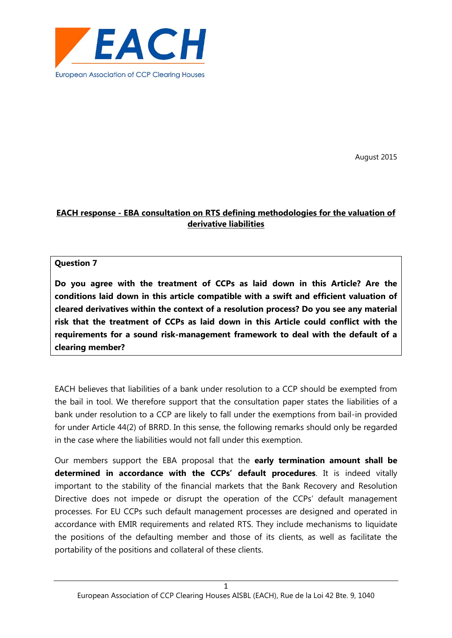

August 2015

# **EACH response - EBA consultation on RTS defining methodologies for the valuation of derivative liabilities**

#### **Question 7**

**Do you agree with the treatment of CCPs as laid down in this Article? Are the conditions laid down in this article compatible with a swift and efficient valuation of cleared derivatives within the context of a resolution process? Do you see any material risk that the treatment of CCPs as laid down in this Article could conflict with the requirements for a sound risk-management framework to deal with the default of a clearing member?**

EACH believes that liabilities of a bank under resolution to a CCP should be exempted from the bail in tool. We therefore support that the consultation paper states the liabilities of a bank under resolution to a CCP are likely to fall under the exemptions from bail-in provided for under Article 44(2) of BRRD. In this sense, the following remarks should only be regarded in the case where the liabilities would not fall under this exemption.

Our members support the EBA proposal that the **early termination amount shall be determined in accordance with the CCPs' default procedures**. It is indeed vitally important to the stability of the financial markets that the Bank Recovery and Resolution Directive does not impede or disrupt the operation of the CCPs' default management processes. For EU CCPs such default management processes are designed and operated in accordance with EMIR requirements and related RTS. They include mechanisms to liquidate the positions of the defaulting member and those of its clients, as well as facilitate the portability of the positions and collateral of these clients.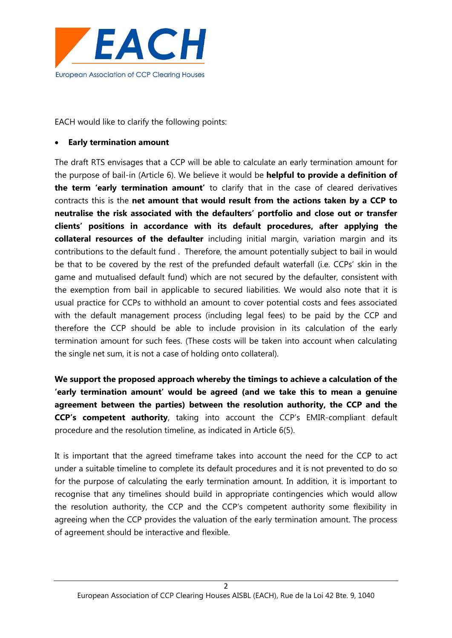

EACH would like to clarify the following points:

#### **Early termination amount**

The draft RTS envisages that a CCP will be able to calculate an early termination amount for the purpose of bail-in (Article 6). We believe it would be **helpful to provide a definition of the term 'early termination amount'** to clarify that in the case of cleared derivatives contracts this is the **net amount that would result from the actions taken by a CCP to neutralise the risk associated with the defaulters' portfolio and close out or transfer clients' positions in accordance with its default procedures, after applying the collateral resources of the defaulter** including initial margin, variation margin and its contributions to the default fund . Therefore, the amount potentially subject to bail in would be that to be covered by the rest of the prefunded default waterfall (i.e. CCPs' skin in the game and mutualised default fund) which are not secured by the defaulter, consistent with the exemption from bail in applicable to secured liabilities. We would also note that it is usual practice for CCPs to withhold an amount to cover potential costs and fees associated with the default management process (including legal fees) to be paid by the CCP and therefore the CCP should be able to include provision in its calculation of the early termination amount for such fees. (These costs will be taken into account when calculating the single net sum, it is not a case of holding onto collateral).

**We support the proposed approach whereby the timings to achieve a calculation of the 'early termination amount' would be agreed (and we take this to mean a genuine agreement between the parties) between the resolution authority, the CCP and the CCP's competent authority**, taking into account the CCP's EMIR-compliant default procedure and the resolution timeline, as indicated in Article 6(5).

It is important that the agreed timeframe takes into account the need for the CCP to act under a suitable timeline to complete its default procedures and it is not prevented to do so for the purpose of calculating the early termination amount. In addition, it is important to recognise that any timelines should build in appropriate contingencies which would allow the resolution authority, the CCP and the CCP's competent authority some flexibility in agreeing when the CCP provides the valuation of the early termination amount. The process of agreement should be interactive and flexible.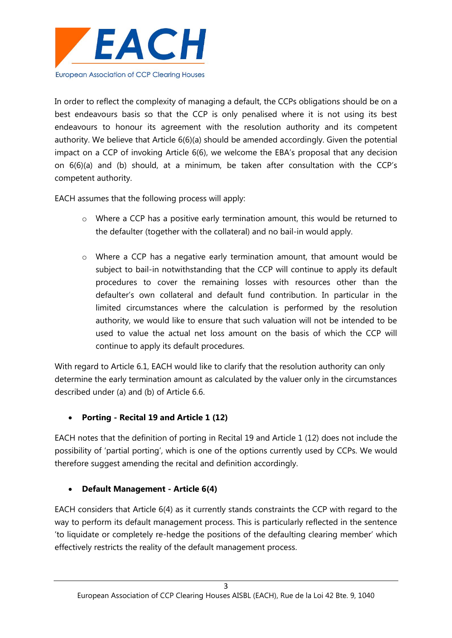

In order to reflect the complexity of managing a default, the CCPs obligations should be on a best endeavours basis so that the CCP is only penalised where it is not using its best endeavours to honour its agreement with the resolution authority and its competent authority. We believe that Article 6(6)(a) should be amended accordingly. Given the potential impact on a CCP of invoking Article 6(6), we welcome the EBA's proposal that any decision on 6(6)(a) and (b) should, at a minimum, be taken after consultation with the CCP's competent authority.

EACH assumes that the following process will apply:

- o Where a CCP has a positive early termination amount, this would be returned to the defaulter (together with the collateral) and no bail-in would apply.
- o Where a CCP has a negative early termination amount, that amount would be subject to bail-in notwithstanding that the CCP will continue to apply its default procedures to cover the remaining losses with resources other than the defaulter's own collateral and default fund contribution. In particular in the limited circumstances where the calculation is performed by the resolution authority, we would like to ensure that such valuation will not be intended to be used to value the actual net loss amount on the basis of which the CCP will continue to apply its default procedures.

With regard to Article 6.1, EACH would like to clarify that the resolution authority can only determine the early termination amount as calculated by the valuer only in the circumstances described under (a) and (b) of Article 6.6.

## **Porting - Recital 19 and Article 1 (12)**

EACH notes that the definition of porting in Recital 19 and Article 1 (12) does not include the possibility of 'partial porting', which is one of the options currently used by CCPs. We would therefore suggest amending the recital and definition accordingly.

## **Default Management - Article 6(4)**

EACH considers that Article 6(4) as it currently stands constraints the CCP with regard to the way to perform its default management process. This is particularly reflected in the sentence 'to liquidate or completely re-hedge the positions of the defaulting clearing member' which effectively restricts the reality of the default management process.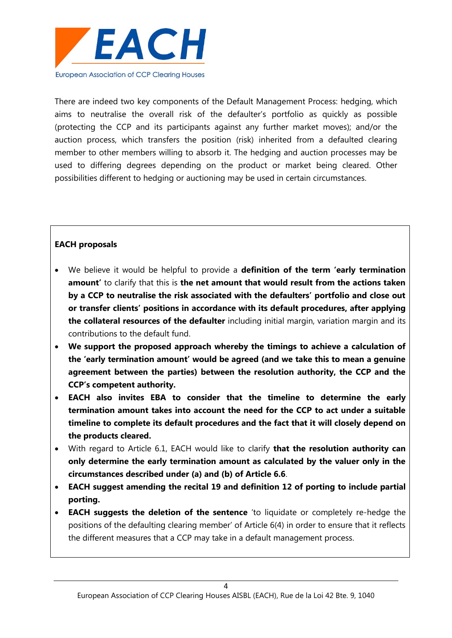

There are indeed two key components of the Default Management Process: hedging, which aims to neutralise the overall risk of the defaulter's portfolio as quickly as possible (protecting the CCP and its participants against any further market moves); and/or the auction process, which transfers the position (risk) inherited from a defaulted clearing member to other members willing to absorb it. The hedging and auction processes may be used to differing degrees depending on the product or market being cleared. Other possibilities different to hedging or auctioning may be used in certain circumstances.

### **EACH proposals**

- We believe it would be helpful to provide a **definition of the term 'early termination amount'** to clarify that this is **the net amount that would result from the actions taken by a CCP to neutralise the risk associated with the defaulters' portfolio and close out or transfer clients' positions in accordance with its default procedures, after applying the collateral resources of the defaulter** including initial margin, variation margin and its contributions to the default fund.
- **We support the proposed approach whereby the timings to achieve a calculation of the 'early termination amount' would be agreed (and we take this to mean a genuine agreement between the parties) between the resolution authority, the CCP and the CCP's competent authority.**
- **EACH also invites EBA to consider that the timeline to determine the early termination amount takes into account the need for the CCP to act under a suitable timeline to complete its default procedures and the fact that it will closely depend on the products cleared.**
- With regard to Article 6.1, EACH would like to clarify **that the resolution authority can only determine the early termination amount as calculated by the valuer only in the circumstances described under (a) and (b) of Article 6.6**.
- **EACH suggest amending the recital 19 and definition 12 of porting to include partial porting.**
- **EACH suggests the deletion of the sentence** 'to liquidate or completely re-hedge the positions of the defaulting clearing member' of Article 6(4) in order to ensure that it reflects the different measures that a CCP may take in a default management process.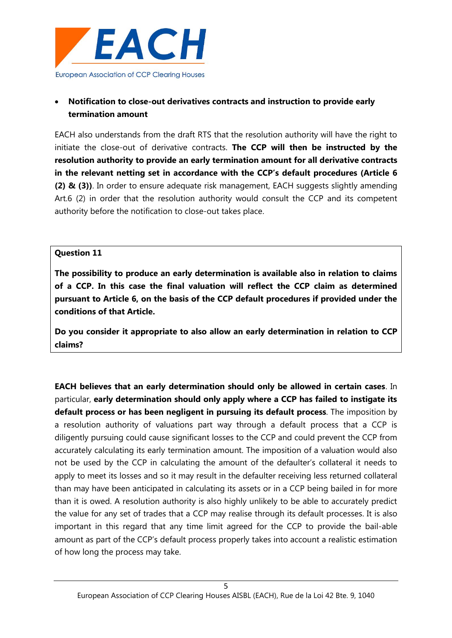

# **Notification to close-out derivatives contracts and instruction to provide early termination amount**

EACH also understands from the draft RTS that the resolution authority will have the right to initiate the close-out of derivative contracts. **The CCP will then be instructed by the resolution authority to provide an early termination amount for all derivative contracts in the relevant netting set in accordance with the CCP's default procedures (Article 6 (2) & (3))**. In order to ensure adequate risk management, EACH suggests slightly amending Art.6 (2) in order that the resolution authority would consult the CCP and its competent authority before the notification to close-out takes place.

#### **Question 11**

**The possibility to produce an early determination is available also in relation to claims of a CCP. In this case the final valuation will reflect the CCP claim as determined pursuant to Article 6, on the basis of the CCP default procedures if provided under the conditions of that Article.**

**Do you consider it appropriate to also allow an early determination in relation to CCP claims?**

**EACH believes that an early determination should only be allowed in certain cases**. In particular, **early determination should only apply where a CCP has failed to instigate its default process or has been negligent in pursuing its default process**. The imposition by a resolution authority of valuations part way through a default process that a CCP is diligently pursuing could cause significant losses to the CCP and could prevent the CCP from accurately calculating its early termination amount. The imposition of a valuation would also not be used by the CCP in calculating the amount of the defaulter's collateral it needs to apply to meet its losses and so it may result in the defaulter receiving less returned collateral than may have been anticipated in calculating its assets or in a CCP being bailed in for more than it is owed. A resolution authority is also highly unlikely to be able to accurately predict the value for any set of trades that a CCP may realise through its default processes. It is also important in this regard that any time limit agreed for the CCP to provide the bail-able amount as part of the CCP's default process properly takes into account a realistic estimation of how long the process may take.